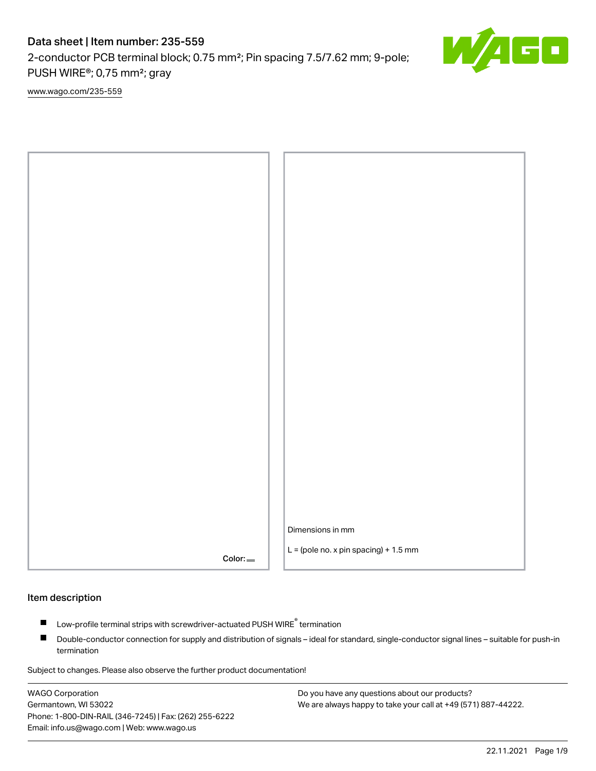2-conductor PCB terminal block; 0.75 mm²; Pin spacing 7.5/7.62 mm; 9-pole; PUSH WIRE®; 0,75 mm²; gray

[www.wago.com/235-559](http://www.wago.com/235-559)



#### Item description

- Low-profile terminal strips with screwdriver-actuated PUSH WIRE<sup>®</sup> termination П
- $\blacksquare$ Double-conductor connection for supply and distribution of signals – ideal for standard, single-conductor signal lines – suitable for push-in termination

Subject to changes. Please also observe the further product documentation!

WAGO Corporation Germantown, WI 53022 Phone: 1-800-DIN-RAIL (346-7245) | Fax: (262) 255-6222 Email: info.us@wago.com | Web: www.wago.us

Do you have any questions about our products? We are always happy to take your call at +49 (571) 887-44222.

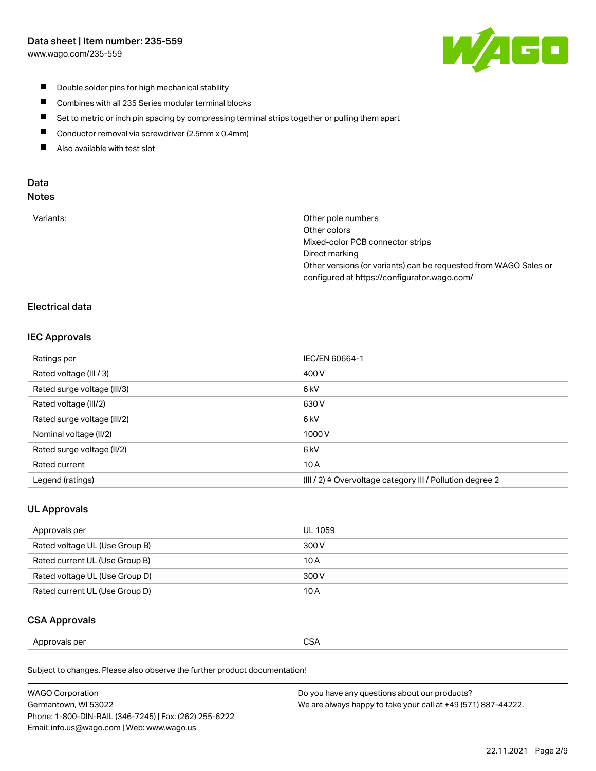[www.wago.com/235-559](http://www.wago.com/235-559)



- $\blacksquare$ Double solder pins for high mechanical stability
- $\blacksquare$ Combines with all 235 Series modular terminal blocks
- $\blacksquare$ Set to metric or inch pin spacing by compressing terminal strips together or pulling them apart
- $\blacksquare$ Conductor removal via screwdriver (2.5mm x 0.4mm)
- $\blacksquare$ Also available with test slot

# Data

## Notes

|  | Variants: |
|--|-----------|
|  |           |

| Variants: | Other pole numbers<br>Other colors                               |
|-----------|------------------------------------------------------------------|
|           | Mixed-color PCB connector strips                                 |
|           | Direct marking                                                   |
|           | Other versions (or variants) can be requested from WAGO Sales or |
|           | configured at https://configurator.wago.com/                     |
|           |                                                                  |

#### Electrical data

#### IEC Approvals

| Ratings per                 | IEC/EN 60664-1                                                        |
|-----------------------------|-----------------------------------------------------------------------|
| Rated voltage (III / 3)     | 400 V                                                                 |
| Rated surge voltage (III/3) | 6 <sub>kV</sub>                                                       |
| Rated voltage (III/2)       | 630 V                                                                 |
| Rated surge voltage (III/2) | 6 <sub>kV</sub>                                                       |
| Nominal voltage (II/2)      | 1000V                                                                 |
| Rated surge voltage (II/2)  | 6 <sub>kV</sub>                                                       |
| Rated current               | 10A                                                                   |
| Legend (ratings)            | $(III / 2)$ $\triangle$ Overvoltage category III / Pollution degree 2 |

## UL Approvals

| Approvals per                  | UL 1059 |
|--------------------------------|---------|
| Rated voltage UL (Use Group B) | 300 V   |
| Rated current UL (Use Group B) | 10 A    |
| Rated voltage UL (Use Group D) | 300 V   |
| Rated current UL (Use Group D) | 10 A    |

## CSA Approvals

| Approvals per<br>. | $\sim$<br>$\sim$<br>ບບ⊓<br>$ -$ |
|--------------------|---------------------------------|
|--------------------|---------------------------------|

Subject to changes. Please also observe the further product documentation!

| WAGO Corporation                                       | Do you have any questions about our products?                 |
|--------------------------------------------------------|---------------------------------------------------------------|
| Germantown, WI 53022                                   | We are always happy to take your call at +49 (571) 887-44222. |
| Phone: 1-800-DIN-RAIL (346-7245)   Fax: (262) 255-6222 |                                                               |
| Email: info.us@wago.com   Web: www.wago.us             |                                                               |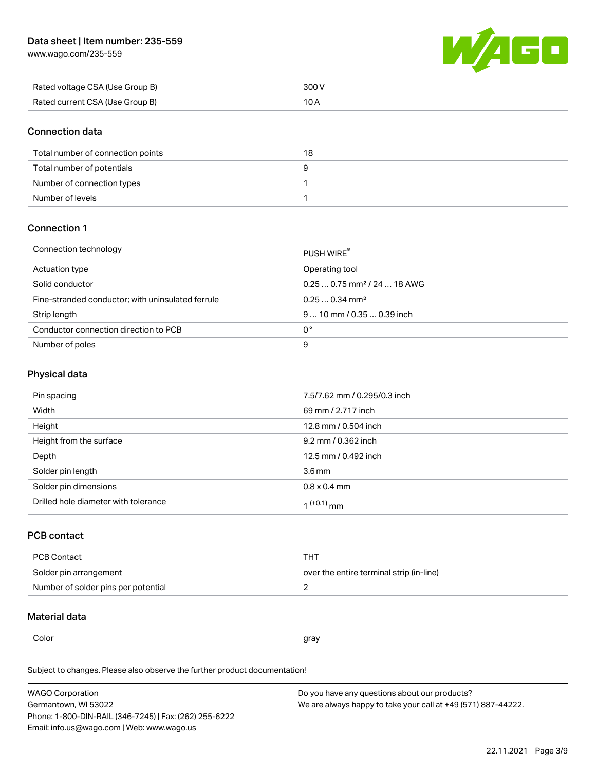[www.wago.com/235-559](http://www.wago.com/235-559)



| Rated voltage CSA (Use Group B) | 300 V |
|---------------------------------|-------|
| Rated current CSA (Use Group B) |       |

#### Connection data

| Total number of connection points | 18 |
|-----------------------------------|----|
| Total number of potentials        |    |
| Number of connection types        |    |
| Number of levels                  |    |

#### Connection 1

#### Connection technology PUSH WIRE® PUSH WIRE®

|                                                   | <b>PUSH WIRE</b>                        |
|---------------------------------------------------|-----------------------------------------|
| Actuation type                                    | Operating tool                          |
| Solid conductor                                   | $0.250.75$ mm <sup>2</sup> / 24  18 AWG |
| Fine-stranded conductor; with uninsulated ferrule | $0.250.34$ mm <sup>2</sup>              |
| Strip length                                      | $910$ mm / 0.35  0.39 inch              |
| Conductor connection direction to PCB             | 0°                                      |
| Number of poles                                   | 9                                       |

#### Physical data

| Pin spacing                          | 7.5/7.62 mm / 0.295/0.3 inch |
|--------------------------------------|------------------------------|
| Width                                | 69 mm / 2.717 inch           |
| Height                               | 12.8 mm / 0.504 inch         |
| Height from the surface              | 9.2 mm / 0.362 inch          |
| Depth                                | 12.5 mm / 0.492 inch         |
| Solder pin length                    | $3.6 \,\mathrm{mm}$          |
| Solder pin dimensions                | $0.8 \times 0.4$ mm          |
| Drilled hole diameter with tolerance | $1^{(+0.1)}$ mm              |

#### PCB contact

| PCB Contact                         | тнт                                      |
|-------------------------------------|------------------------------------------|
| Solder pin arrangement              | over the entire terminal strip (in-line) |
| Number of solder pins per potential |                                          |

#### Material data

 $\alpha$  gray

Subject to changes. Please also observe the further product documentation! Material group I

| <b>WAGO Corporation</b>                                | Do you have any questions about our products?                 |
|--------------------------------------------------------|---------------------------------------------------------------|
| Germantown, WI 53022                                   | We are always happy to take your call at +49 (571) 887-44222. |
| Phone: 1-800-DIN-RAIL (346-7245)   Fax: (262) 255-6222 |                                                               |
| Email: info.us@wago.com   Web: www.wago.us             |                                                               |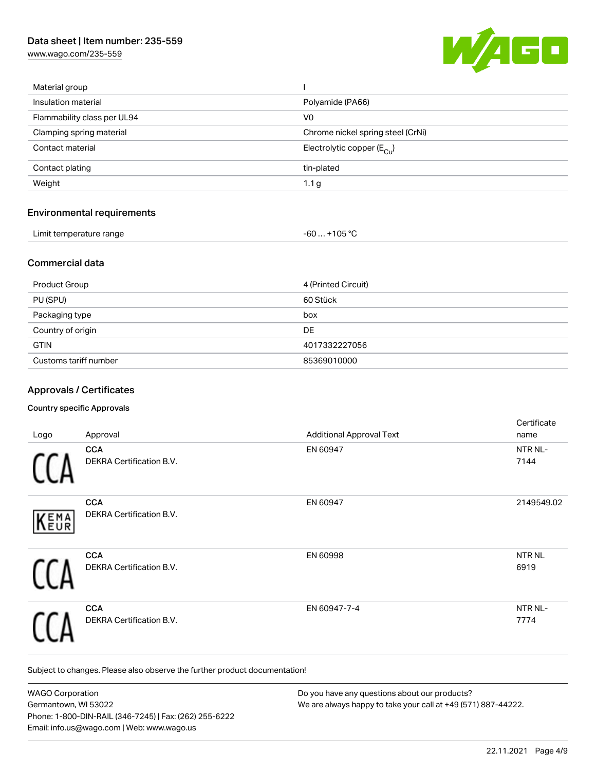[www.wago.com/235-559](http://www.wago.com/235-559)



| Material group                    |                                        |
|-----------------------------------|----------------------------------------|
| Insulation material               | Polyamide (PA66)                       |
| Flammability class per UL94       | V <sub>0</sub>                         |
| Clamping spring material          | Chrome nickel spring steel (CrNi)      |
| Contact material                  | Electrolytic copper $(E_{\text{Cul}})$ |
| Contact plating                   | tin-plated                             |
| Weight                            | 1.1 <sub>g</sub>                       |
| <b>Environmental requirements</b> |                                        |
| Limit temperature range           | $-60+105 °C$                           |

#### Commercial data

| Product Group         | 4 (Printed Circuit) |
|-----------------------|---------------------|
| PU (SPU)              | 60 Stück            |
| Packaging type        | box                 |
| Country of origin     | DE                  |
| <b>GTIN</b>           | 4017332227056       |
| Customs tariff number | 85369010000         |

#### Approvals / Certificates

#### Country specific Approvals

|      |                                 |                                 | Certificate       |
|------|---------------------------------|---------------------------------|-------------------|
| Logo | Approval                        | <b>Additional Approval Text</b> | name              |
|      | <b>CCA</b>                      | EN 60947                        | NTR NL-           |
|      | DEKRA Certification B.V.        |                                 | 7144              |
|      | <b>CCA</b>                      | EN 60947                        | 2149549.02        |
| KEMA | DEKRA Certification B.V.        |                                 |                   |
|      | <b>CCA</b>                      | EN 60998                        | NTR <sub>NL</sub> |
|      | <b>DEKRA Certification B.V.</b> |                                 | 6919              |
|      | <b>CCA</b>                      | EN 60947-7-4                    | NTR NL-           |
|      | DEKRA Certification B.V.        |                                 | 7774              |

Subject to changes. Please also observe the further product documentation!

| <b>WAGO Corporation</b>                                | Do you have any questions about our products?                 |
|--------------------------------------------------------|---------------------------------------------------------------|
| Germantown, WI 53022                                   | We are always happy to take your call at +49 (571) 887-44222. |
| Phone: 1-800-DIN-RAIL (346-7245)   Fax: (262) 255-6222 |                                                               |
| Email: info.us@wago.com   Web: www.wago.us             |                                                               |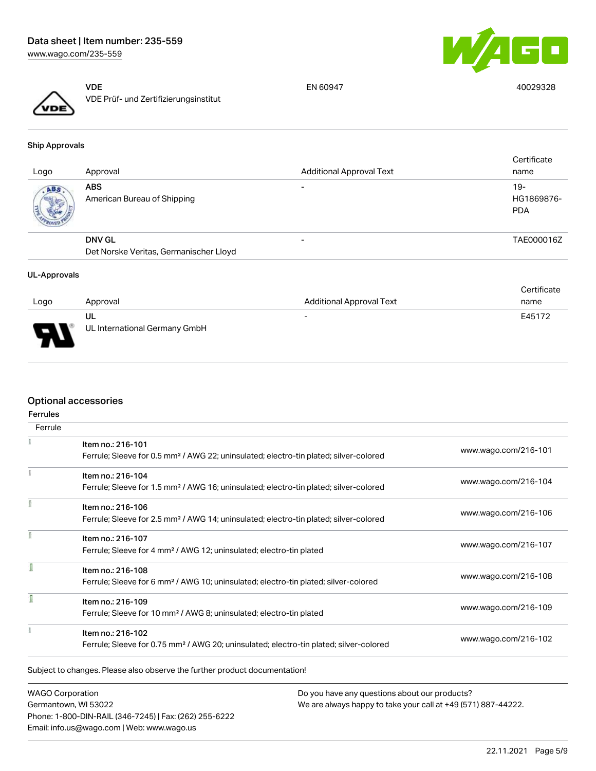



VDE VDE Prüf- und Zertifizierungsinstitut

EN 60947 40029328

Ship Approvals

| Logo | Approval                                  | <b>Additional Approval Text</b> | Certificate<br>name               |
|------|-------------------------------------------|---------------------------------|-----------------------------------|
| ABS  | <b>ABS</b><br>American Bureau of Shipping | $\overline{\phantom{0}}$        | $19-$<br>HG1869876-<br><b>PDA</b> |
|      | <b>DNV GL</b>                             | $\overline{\phantom{0}}$        | TAE000016Z                        |
|      | Det Norske Veritas, Germanischer Lloyd    |                                 |                                   |

#### UL-Approvals

|                       |                                     |                                 | Certificate |
|-----------------------|-------------------------------------|---------------------------------|-------------|
| Logo                  | Approval                            | <b>Additional Approval Text</b> | name        |
| $\blacksquare$<br>- 1 | UL<br>UL International Germany GmbH | $\overline{\phantom{a}}$        | E45172      |

#### Optional accessories

| <b>Ferrules</b> |                                                                                                    |                      |
|-----------------|----------------------------------------------------------------------------------------------------|----------------------|
| Ferrule         |                                                                                                    |                      |
|                 | Item no.: 216-101                                                                                  |                      |
|                 | Ferrule; Sleeve for 0.5 mm <sup>2</sup> / AWG 22; uninsulated; electro-tin plated; silver-colored  | www.wago.com/216-101 |
|                 | Item no.: 216-104                                                                                  |                      |
|                 | Ferrule; Sleeve for 1.5 mm <sup>2</sup> / AWG 16; uninsulated; electro-tin plated; silver-colored  | www.wago.com/216-104 |
|                 | Item no.: 216-106                                                                                  |                      |
|                 | Ferrule; Sleeve for 2.5 mm <sup>2</sup> / AWG 14; uninsulated; electro-tin plated; silver-colored  | www.wago.com/216-106 |
|                 | Item no.: 216-107                                                                                  |                      |
|                 | Ferrule; Sleeve for 4 mm <sup>2</sup> / AWG 12; uninsulated; electro-tin plated                    | www.wago.com/216-107 |
|                 | Item no.: 216-108                                                                                  |                      |
|                 | Ferrule; Sleeve for 6 mm <sup>2</sup> / AWG 10; uninsulated; electro-tin plated; silver-colored    | www.wago.com/216-108 |
|                 | Item no.: 216-109                                                                                  |                      |
|                 | Ferrule; Sleeve for 10 mm <sup>2</sup> / AWG 8; uninsulated; electro-tin plated                    | www.wago.com/216-109 |
|                 | Item no.: 216-102                                                                                  |                      |
|                 | Ferrule; Sleeve for 0.75 mm <sup>2</sup> / AWG 20; uninsulated; electro-tin plated; silver-colored | www.wago.com/216-102 |

WAGO Corporation Germantown, WI 53022 Phone: 1-800-DIN-RAIL (346-7245) | Fax: (262) 255-6222 Email: info.us@wago.com | Web: www.wago.us

Do you have any questions about our products? We are always happy to take your call at +49 (571) 887-44222.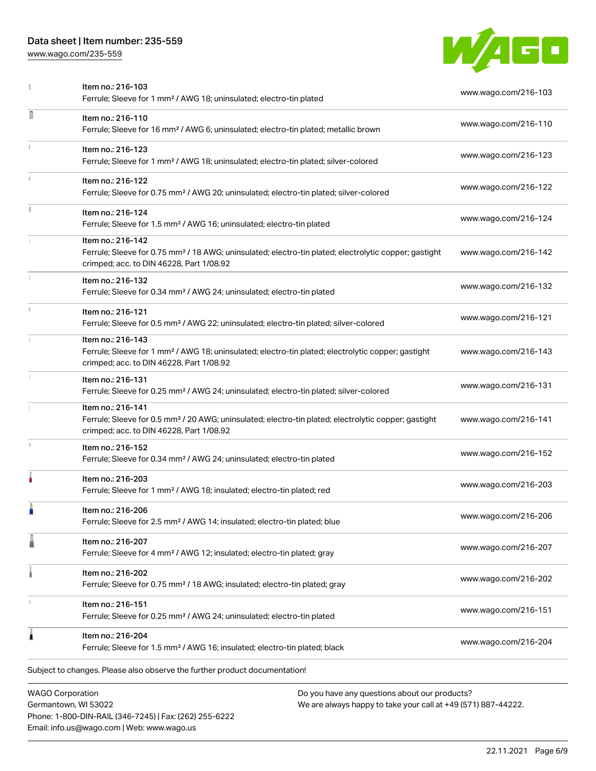Phone: 1-800-DIN-RAIL (346-7245) | Fax: (262) 255-6222

Email: info.us@wago.com | Web: www.wago.us

[www.wago.com/235-559](http://www.wago.com/235-559)



|                                                 | Item no.: 216-103<br>Ferrule; Sleeve for 1 mm <sup>2</sup> / AWG 18; uninsulated; electro-tin plated                                                                               | www.wago.com/216-103                                                                                           |
|-------------------------------------------------|------------------------------------------------------------------------------------------------------------------------------------------------------------------------------------|----------------------------------------------------------------------------------------------------------------|
| Л                                               | Item no.: 216-110<br>Ferrule; Sleeve for 16 mm <sup>2</sup> / AWG 6; uninsulated; electro-tin plated; metallic brown                                                               | www.wago.com/216-110                                                                                           |
|                                                 | Item no.: 216-123<br>Ferrule; Sleeve for 1 mm <sup>2</sup> / AWG 18; uninsulated; electro-tin plated; silver-colored                                                               | www.wago.com/216-123                                                                                           |
|                                                 | Item no.: 216-122<br>Ferrule; Sleeve for 0.75 mm <sup>2</sup> / AWG 20; uninsulated; electro-tin plated; silver-colored                                                            | www.wago.com/216-122                                                                                           |
| I.                                              | Item no.: 216-124<br>Ferrule; Sleeve for 1.5 mm <sup>2</sup> / AWG 16; uninsulated; electro-tin plated                                                                             | www.wago.com/216-124                                                                                           |
|                                                 | Item no.: 216-142<br>Ferrule; Sleeve for 0.75 mm <sup>2</sup> / 18 AWG; uninsulated; electro-tin plated; electrolytic copper; gastight<br>crimped; acc. to DIN 46228, Part 1/08.92 | www.wago.com/216-142                                                                                           |
|                                                 | Item no.: 216-132<br>Ferrule; Sleeve for 0.34 mm <sup>2</sup> / AWG 24; uninsulated; electro-tin plated                                                                            | www.wago.com/216-132                                                                                           |
|                                                 | Item no.: 216-121<br>Ferrule; Sleeve for 0.5 mm <sup>2</sup> / AWG 22; uninsulated; electro-tin plated; silver-colored                                                             | www.wago.com/216-121                                                                                           |
|                                                 | Item no.: 216-143<br>Ferrule; Sleeve for 1 mm <sup>2</sup> / AWG 18; uninsulated; electro-tin plated; electrolytic copper; gastight<br>crimped; acc. to DIN 46228, Part 1/08.92    | www.wago.com/216-143                                                                                           |
|                                                 | Item no.: 216-131<br>Ferrule; Sleeve for 0.25 mm <sup>2</sup> / AWG 24; uninsulated; electro-tin plated; silver-colored                                                            | www.wago.com/216-131                                                                                           |
|                                                 | Item no.: 216-141<br>Ferrule; Sleeve for 0.5 mm <sup>2</sup> / 20 AWG; uninsulated; electro-tin plated; electrolytic copper; gastight<br>crimped; acc. to DIN 46228, Part 1/08.92  | www.wago.com/216-141                                                                                           |
|                                                 | Item no.: 216-152<br>Ferrule; Sleeve for 0.34 mm <sup>2</sup> / AWG 24; uninsulated; electro-tin plated                                                                            | www.wago.com/216-152                                                                                           |
|                                                 | Item no.: 216-203<br>Ferrule; Sleeve for 1 mm <sup>2</sup> / AWG 18; insulated; electro-tin plated; red                                                                            | www.wago.com/216-203                                                                                           |
|                                                 | Item no.: 216-206<br>Ferrule; Sleeve for 2.5 mm <sup>2</sup> / AWG 14; insulated; electro-tin plated; blue                                                                         | www.wago.com/216-206                                                                                           |
|                                                 | Item no.: 216-207<br>Ferrule; Sleeve for 4 mm <sup>2</sup> / AWG 12; insulated; electro-tin plated; gray                                                                           | www.wago.com/216-207                                                                                           |
|                                                 | Item no.: 216-202<br>Ferrule; Sleeve for 0.75 mm <sup>2</sup> / 18 AWG; insulated; electro-tin plated; gray                                                                        | www.wago.com/216-202                                                                                           |
|                                                 | Item no.: 216-151<br>Ferrule; Sleeve for 0.25 mm <sup>2</sup> / AWG 24; uninsulated; electro-tin plated                                                                            | www.wago.com/216-151                                                                                           |
| ۸                                               | Item no.: 216-204<br>Ferrule; Sleeve for 1.5 mm <sup>2</sup> / AWG 16; insulated; electro-tin plated; black                                                                        | www.wago.com/216-204                                                                                           |
|                                                 | Subject to changes. Please also observe the further product documentation!                                                                                                         |                                                                                                                |
| <b>WAGO Corporation</b><br>Germantown, WI 53022 |                                                                                                                                                                                    | Do you have any questions about our products?<br>We are always happy to take your call at +49 (571) 887-44222. |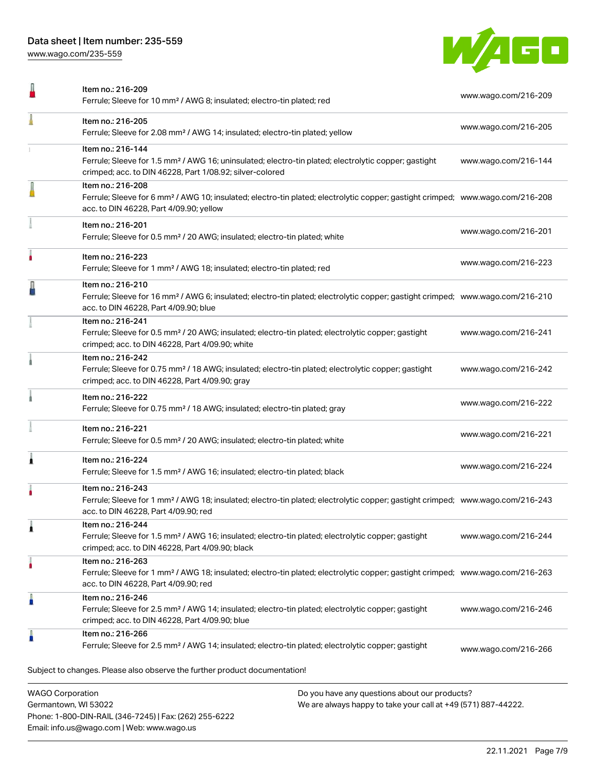Phone: 1-800-DIN-RAIL (346-7245) | Fax: (262) 255-6222

Email: info.us@wago.com | Web: www.wago.us

[www.wago.com/235-559](http://www.wago.com/235-559)



| Item no.: 216-209<br>Ferrule; Sleeve for 10 mm <sup>2</sup> / AWG 8; insulated; electro-tin plated; red                                                                                                    |                                                                                                                | www.wago.com/216-209 |
|------------------------------------------------------------------------------------------------------------------------------------------------------------------------------------------------------------|----------------------------------------------------------------------------------------------------------------|----------------------|
| Item no.: 216-205<br>Ferrule; Sleeve for 2.08 mm <sup>2</sup> / AWG 14; insulated; electro-tin plated; yellow                                                                                              |                                                                                                                | www.wago.com/216-205 |
| Item no.: 216-144<br>Ferrule; Sleeve for 1.5 mm <sup>2</sup> / AWG 16; uninsulated; electro-tin plated; electrolytic copper; gastight<br>crimped; acc. to DIN 46228, Part 1/08.92; silver-colored          |                                                                                                                | www.wago.com/216-144 |
| Item no.: 216-208<br>Ferrule; Sleeve for 6 mm <sup>2</sup> / AWG 10; insulated; electro-tin plated; electrolytic copper; gastight crimped; www.wago.com/216-208<br>acc. to DIN 46228, Part 4/09.90; yellow |                                                                                                                |                      |
| Item no.: 216-201<br>Ferrule; Sleeve for 0.5 mm <sup>2</sup> / 20 AWG; insulated; electro-tin plated; white                                                                                                |                                                                                                                | www.wago.com/216-201 |
| Item no.: 216-223<br>Ferrule; Sleeve for 1 mm <sup>2</sup> / AWG 18; insulated; electro-tin plated; red                                                                                                    |                                                                                                                | www.wago.com/216-223 |
| Item no.: 216-210<br>Ferrule; Sleeve for 16 mm <sup>2</sup> / AWG 6; insulated; electro-tin plated; electrolytic copper; gastight crimped; www.wago.com/216-210<br>acc. to DIN 46228, Part 4/09.90; blue   |                                                                                                                |                      |
| Item no.: 216-241<br>Ferrule; Sleeve for 0.5 mm <sup>2</sup> / 20 AWG; insulated; electro-tin plated; electrolytic copper; gastight<br>crimped; acc. to DIN 46228, Part 4/09.90; white                     |                                                                                                                | www.wago.com/216-241 |
| Item no.: 216-242<br>Ferrule; Sleeve for 0.75 mm <sup>2</sup> / 18 AWG; insulated; electro-tin plated; electrolytic copper; gastight<br>crimped; acc. to DIN 46228, Part 4/09.90; gray                     |                                                                                                                | www.wago.com/216-242 |
| Item no.: 216-222<br>Ferrule; Sleeve for 0.75 mm <sup>2</sup> / 18 AWG; insulated; electro-tin plated; gray                                                                                                |                                                                                                                | www.wago.com/216-222 |
| Item no.: 216-221<br>Ferrule; Sleeve for 0.5 mm <sup>2</sup> / 20 AWG; insulated; electro-tin plated; white                                                                                                |                                                                                                                | www.wago.com/216-221 |
| Item no.: 216-224<br>Ferrule; Sleeve for 1.5 mm <sup>2</sup> / AWG 16; insulated; electro-tin plated; black                                                                                                |                                                                                                                | www.wago.com/216-224 |
| Item no.: 216-243<br>Ferrule; Sleeve for 1 mm <sup>2</sup> / AWG 18; insulated; electro-tin plated; electrolytic copper; gastight crimped; www.wago.com/216-243<br>acc. to DIN 46228, Part 4/09.90; red    |                                                                                                                |                      |
| Item no.: 216-244<br>Ferrule; Sleeve for 1.5 mm <sup>2</sup> / AWG 16; insulated; electro-tin plated; electrolytic copper; gastight<br>crimped; acc. to DIN 46228, Part 4/09.90; black                     |                                                                                                                | www.wago.com/216-244 |
| Item no.: 216-263<br>Ferrule; Sleeve for 1 mm <sup>2</sup> / AWG 18; insulated; electro-tin plated; electrolytic copper; gastight crimped; www.wago.com/216-263<br>acc. to DIN 46228, Part 4/09.90; red    |                                                                                                                |                      |
| Item no.: 216-246<br>Ferrule; Sleeve for 2.5 mm <sup>2</sup> / AWG 14; insulated; electro-tin plated; electrolytic copper; gastight<br>crimped; acc. to DIN 46228, Part 4/09.90; blue                      |                                                                                                                | www.wago.com/216-246 |
| Item no.: 216-266<br>Ferrule; Sleeve for 2.5 mm <sup>2</sup> / AWG 14; insulated; electro-tin plated; electrolytic copper; gastight                                                                        |                                                                                                                | www.wago.com/216-266 |
| Subject to changes. Please also observe the further product documentation!                                                                                                                                 |                                                                                                                |                      |
| <b>WAGO Corporation</b><br>Germantown, WI 53022                                                                                                                                                            | Do you have any questions about our products?<br>We are always happy to take your call at +49 (571) 887-44222. |                      |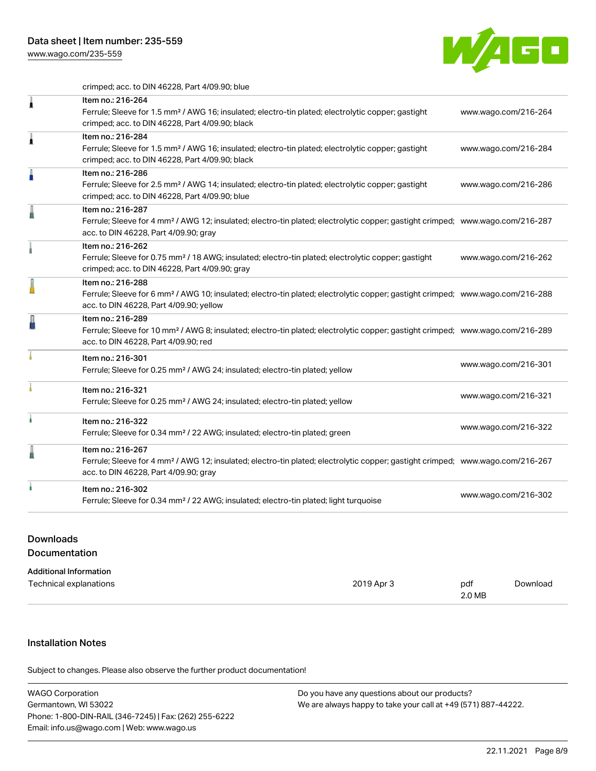[www.wago.com/235-559](http://www.wago.com/235-559)



crimped; acc. to DIN 46228, Part 4/09.90; blue

| Item no.: 216-264<br>Ferrule; Sleeve for 1.5 mm <sup>2</sup> / AWG 16; insulated; electro-tin plated; electrolytic copper; gastight<br>crimped; acc. to DIN 46228, Part 4/09.90; black                     | www.wago.com/216-264 |
|------------------------------------------------------------------------------------------------------------------------------------------------------------------------------------------------------------|----------------------|
| Item no.: 216-284<br>Ferrule; Sleeve for 1.5 mm <sup>2</sup> / AWG 16; insulated; electro-tin plated; electrolytic copper; gastight<br>crimped; acc. to DIN 46228, Part 4/09.90; black                     | www.wago.com/216-284 |
| Item no.: 216-286<br>Ferrule; Sleeve for 2.5 mm <sup>2</sup> / AWG 14; insulated; electro-tin plated; electrolytic copper; gastight<br>crimped; acc. to DIN 46228, Part 4/09.90; blue                      | www.wago.com/216-286 |
| Item no.: 216-287<br>Ferrule; Sleeve for 4 mm <sup>2</sup> / AWG 12; insulated; electro-tin plated; electrolytic copper; gastight crimped; www.wago.com/216-287<br>acc. to DIN 46228, Part 4/09.90; gray   |                      |
| Item no.: 216-262<br>Ferrule; Sleeve for 0.75 mm <sup>2</sup> / 18 AWG; insulated; electro-tin plated; electrolytic copper; gastight<br>crimped; acc. to DIN 46228, Part 4/09.90; gray                     | www.wago.com/216-262 |
| Item no.: 216-288<br>Ferrule; Sleeve for 6 mm <sup>2</sup> / AWG 10; insulated; electro-tin plated; electrolytic copper; gastight crimped; www.wago.com/216-288<br>acc. to DIN 46228, Part 4/09.90; yellow |                      |
| Item no.: 216-289<br>Ferrule; Sleeve for 10 mm <sup>2</sup> / AWG 8; insulated; electro-tin plated; electrolytic copper; gastight crimped; www.wago.com/216-289<br>acc. to DIN 46228, Part 4/09.90; red    |                      |
| Item no.: 216-301<br>Ferrule; Sleeve for 0.25 mm <sup>2</sup> / AWG 24; insulated; electro-tin plated; yellow                                                                                              | www.wago.com/216-301 |
| Item no.: 216-321<br>Ferrule; Sleeve for 0.25 mm <sup>2</sup> / AWG 24; insulated; electro-tin plated; yellow                                                                                              | www.wago.com/216-321 |
| Item no.: 216-322<br>Ferrule; Sleeve for 0.34 mm <sup>2</sup> / 22 AWG; insulated; electro-tin plated; green                                                                                               | www.wago.com/216-322 |
| Item no.: 216-267<br>Ferrule; Sleeve for 4 mm <sup>2</sup> / AWG 12; insulated; electro-tin plated; electrolytic copper; gastight crimped; www.wago.com/216-267<br>acc. to DIN 46228, Part 4/09.90; gray   |                      |
| Item no.: 216-302<br>Ferrule; Sleeve for 0.34 mm <sup>2</sup> / 22 AWG; insulated; electro-tin plated; light turquoise                                                                                     | www.wago.com/216-302 |
|                                                                                                                                                                                                            |                      |

## Downloads Documentation

| <b>Additional Information</b> |            |        |          |
|-------------------------------|------------|--------|----------|
| Technical explanations        | 2019 Apr 3 | pdf    | Download |
|                               |            | 2.0 MB |          |

# Installation Notes

Subject to changes. Please also observe the further product documentation!

| <b>WAGO Corporation</b>                                | Do you have any questions about our products?                 |
|--------------------------------------------------------|---------------------------------------------------------------|
| Germantown, WI 53022                                   | We are always happy to take your call at +49 (571) 887-44222. |
| Phone: 1-800-DIN-RAIL (346-7245)   Fax: (262) 255-6222 |                                                               |
| Email: info.us@wago.com   Web: www.wago.us             |                                                               |